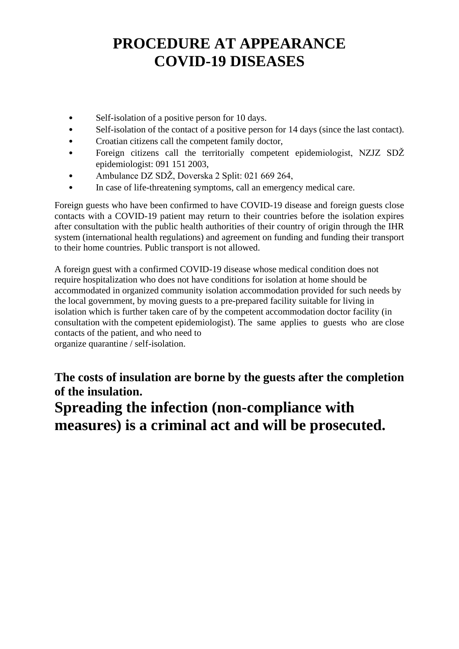## **PROCEDURE AT APPEARANCE COVID-19 DISEASES**

- Self-isolation of a positive person for 10 days.
- Self-isolation of the contact of a positive person for 14 days (since the last contact).
- Croatian citizens call the competent family doctor,
- Foreign citizens call the territorially competent epidemiologist, NZJZ SDŽ epidemiologist: 091 151 2003,
- Ambulance DZ SDŽ, Doverska 2 Split: 021 669 264,
- In case of life-threatening symptoms, call an emergency medical care.

Foreign guests who have been confirmed to have COVID-19 disease and foreign guests close contacts with a COVID-19 patient may return to their countries before the isolation expires after consultation with the public health authorities of their country of origin through the IHR system (international health regulations) and agreement on funding and funding their transport to their home countries. Public transport is not allowed.

A foreign guest with a confirmed COVID-19 disease whose medical condition does not require hospitalization who does not have conditions for isolation at home should be accommodated in organized community isolation accommodation provided for such needs by the local government, by moving guests to a pre-prepared facility suitable for living in isolation which is further taken care of by the competent accommodation doctor facility (in consultation with the competent epidemiologist). The same applies to guests who are close contacts of the patient, and who need to organize quarantine / self-isolation.

**The costs of insulation are borne by the guests after the completion of the insulation. Spreading the infection (non-compliance with measures) is a criminal act and will be prosecuted.**